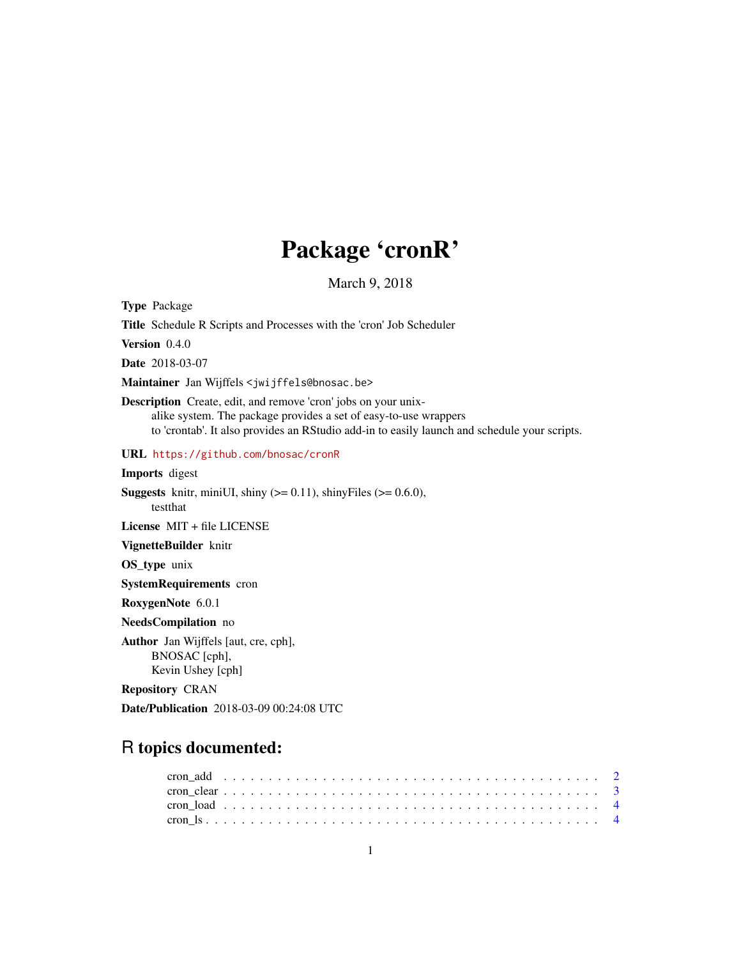# Package 'cronR'

March 9, 2018

<span id="page-0-0"></span>Type Package Title Schedule R Scripts and Processes with the 'cron' Job Scheduler Version 0.4.0 Date 2018-03-07 Maintainer Jan Wijffels <jwijffels@bnosac.be> Description Create, edit, and remove 'cron' jobs on your unixalike system. The package provides a set of easy-to-use wrappers to 'crontab'. It also provides an RStudio add-in to easily launch and schedule your scripts. URL <https://github.com/bnosac/cronR> Imports digest **Suggests** knitr, miniUI, shiny  $(>= 0.11)$ , shinyFiles  $(>= 0.6.0)$ , testthat License MIT + file LICENSE VignetteBuilder knitr OS\_type unix SystemRequirements cron RoxygenNote 6.0.1 NeedsCompilation no Author Jan Wijffels [aut, cre, cph], BNOSAC [cph], Kevin Ushey [cph] Repository CRAN Date/Publication 2018-03-09 00:24:08 UTC

# R topics documented: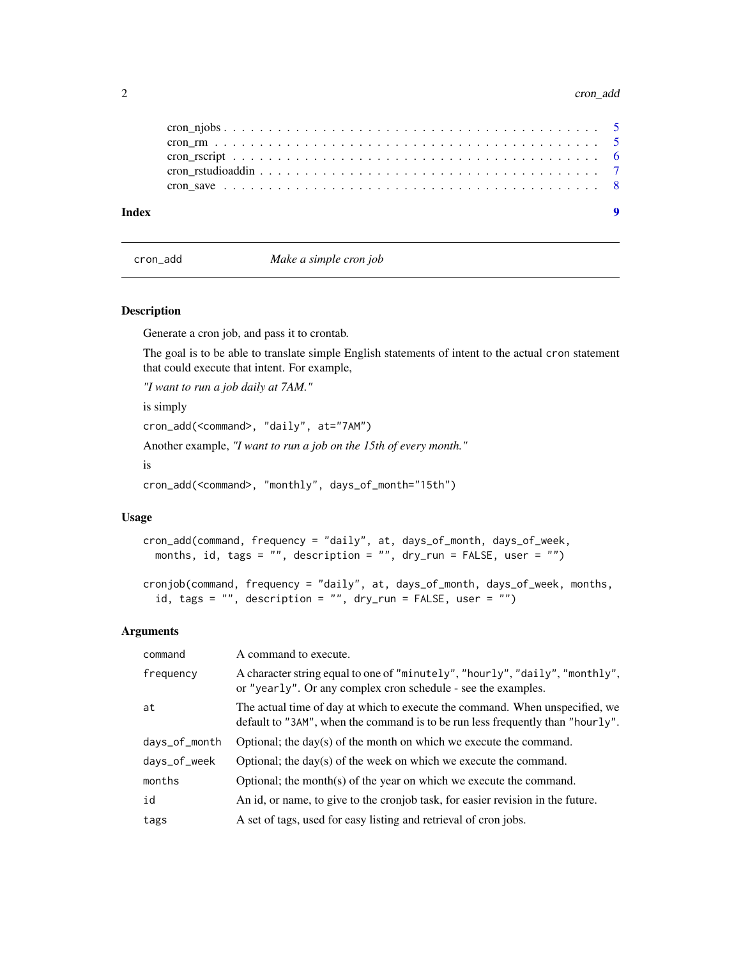#### 2 cron\_add  $\sim$  cron\_add  $\sim$  cron\_add  $\sim$  cron\_add  $\sim$  cron\_add  $\sim$  cron\_add  $\sim$  cron\_add  $\sim$  cron\_add  $\sim$  cron\_add  $\sim$  cron\_add  $\sim$  cron\_add  $\sim$  cron\_add  $\sim$  cron\_add  $\sim$  cron\_add  $\sim$  cron\_add  $\sim$  cron\_add

| Index |  |
|-------|--|
|       |  |
|       |  |
|       |  |
|       |  |
|       |  |

cron\_add *Make a simple cron job*

#### Description

Generate a cron job, and pass it to crontab.

The goal is to be able to translate simple English statements of intent to the actual cron statement that could execute that intent. For example,

*"I want to run a job daily at 7AM."*

is simply

cron\_add(<command>, "daily", at="7AM")

Another example, *"I want to run a job on the 15th of every month."*

is

cron\_add(<command>, "monthly", days\_of\_month="15th")

#### Usage

cron\_add(command, frequency = "daily", at, days\_of\_month, days\_of\_week, months, id, tags =  $"$ , description =  $"$ , dry\_run = FALSE, user =  $"$ )

```
cronjob(command, frequency = "daily", at, days_of_month, days_of_week, months,
  id, tags = ", description = ", dry_run = FALSE, user = ")
```
#### Arguments

| command       | A command to execute.                                                                                                                                          |
|---------------|----------------------------------------------------------------------------------------------------------------------------------------------------------------|
| frequency     | A character string equal to one of "minutely", "hourly", "daily", "monthly",<br>or "yearly". Or any complex cron schedule - see the examples.                  |
| at            | The actual time of day at which to execute the command. When unspecified, we<br>default to "3AM", when the command is to be run less frequently than "hourly". |
| days_of_month | Optional; the day(s) of the month on which we execute the command.                                                                                             |
| days_of_week  | Optional; the day(s) of the week on which we execute the command.                                                                                              |
| months        | Optional; the month(s) of the year on which we execute the command.                                                                                            |
| id            | An id, or name, to give to the cronjob task, for easier revision in the future.                                                                                |
| tags          | A set of tags, used for easy listing and retrieval of cron jobs.                                                                                               |

<span id="page-1-0"></span>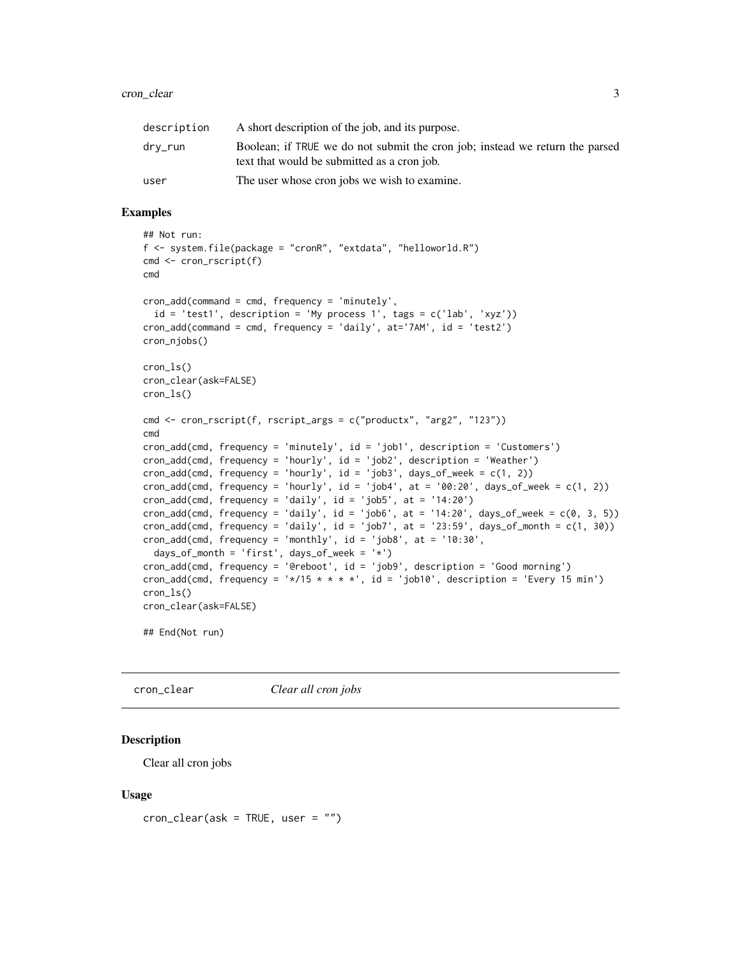#### <span id="page-2-0"></span>cron\_clear 3

| description | A short description of the job, and its purpose.                                                                            |
|-------------|-----------------------------------------------------------------------------------------------------------------------------|
| drv_run     | Boolean; if TRUE we do not submit the cron job; instead we return the parsed<br>text that would be submitted as a cron job. |
| user        | The user whose cron jobs we wish to examine.                                                                                |

# Examples

```
## Not run:
f <- system.file(package = "cronR", "extdata", "helloworld.R")
cmd <- cron_rscript(f)
cmd
cron_add(command = cmd, frequency = 'minutely',
  id = 'test1', description = 'My process 1', tags = c('lab', 'xyz'))
cron_add(command = cmd, frequency = 'daily', at='7AM', id = 'test2')
cron_njobs()
cron_ls()
cron_clear(ask=FALSE)
cron_ls()
cmd <- cron_rscript(f, rscript_args = c("productx", "arg2", "123"))
cmd
cron_add(cmd, frequency = 'minutely', id = 'job1', description = 'Customers')
cron_add(cmd, frequency = 'hourly', id = 'job2', description = 'Weather')
cron\_add(cmd, frequency = 'hourly', id = 'job3', days_of-week = <math>c(1, 2)</math>)cron\_add(cmd, frequency = 'hourly', id = 'job4', at = '00:20', days_of_week = c(1, 2))cron\_add(cmd, frequency = 'daily', id = 'job5', at = '14:20')cron\_add(cmd, frequency = 'daily', id = 'job6', at = '14:20', days_of-week = c(0, 3, 5))cron_add(cmd, frequency = 'daily', id = 'job7', at = '23:59', days_of_month = c(1, 30))
cron\_add(cmd, frequency = 'monthly', id = 'job8', at = '10:30',days_of_month = 'first', days_of_week = '*')
cron_add(cmd, frequency = '@reboot', id = 'job9', description = 'Good morning')
cron_add(cmd, frequency = '*/15 * * * *', id = 'job10', description = 'Every 15 min')
cron_ls()
cron_clear(ask=FALSE)
## End(Not run)
```
cron\_clear *Clear all cron jobs*

# Description

Clear all cron jobs

#### Usage

 $cron_{\text{c}}/clear$  (ask = TRUE, user = "")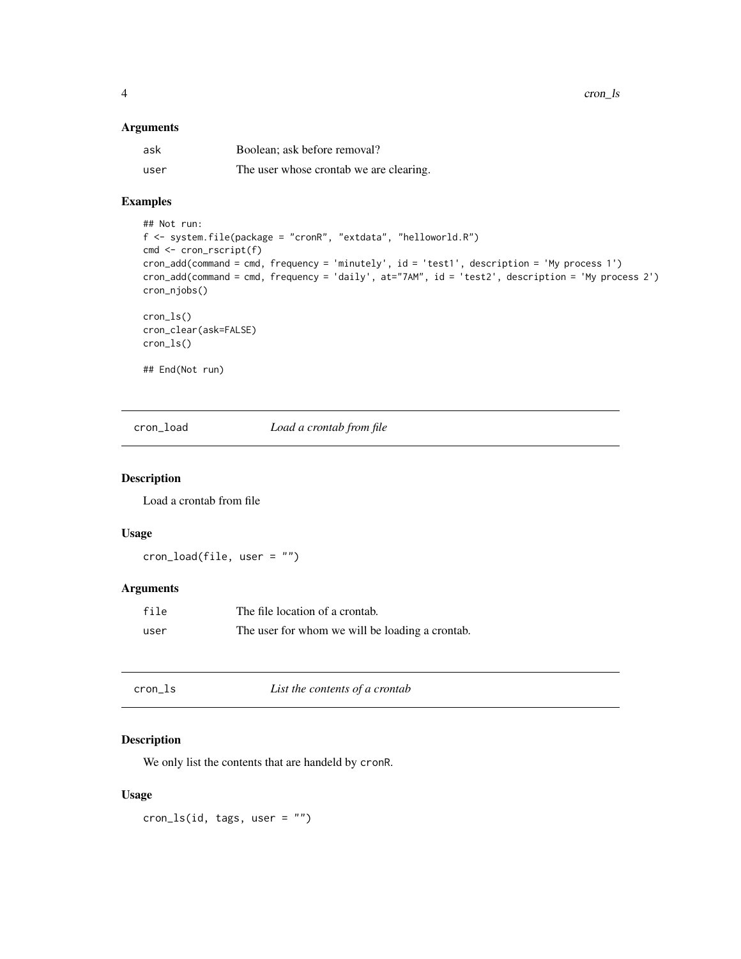<span id="page-3-0"></span>4 cron\_ls

#### Arguments

| ask  | Boolean; ask before removal?            |
|------|-----------------------------------------|
| user | The user whose crontab we are clearing. |

# Examples

```
## Not run:
f <- system.file(package = "cronR", "extdata", "helloworld.R")
cmd <- cron_rscript(f)
cron_add(command = cmd, frequency = 'minutely', id = 'test1', description = 'My process 1')
cron_add(command = cmd, frequency = 'daily', at="7AM", id = 'test2', description = 'My process 2')
cron_njobs()
cron_ls()
cron_clear(ask=FALSE)
cron_ls()
## End(Not run)
```
cron\_load *Load a crontab from file*

# Description

Load a crontab from file

# Usage

cron\_load(file, user = "")

# Arguments

| file | The file location of a crontab.                 |
|------|-------------------------------------------------|
| user | The user for whom we will be loading a crontab. |

| cron_ls | List the contents of a crontab |  |
|---------|--------------------------------|--|
|---------|--------------------------------|--|

# Description

We only list the contents that are handeld by cronR.

#### Usage

 $cron_ls(id, tags, user = "")$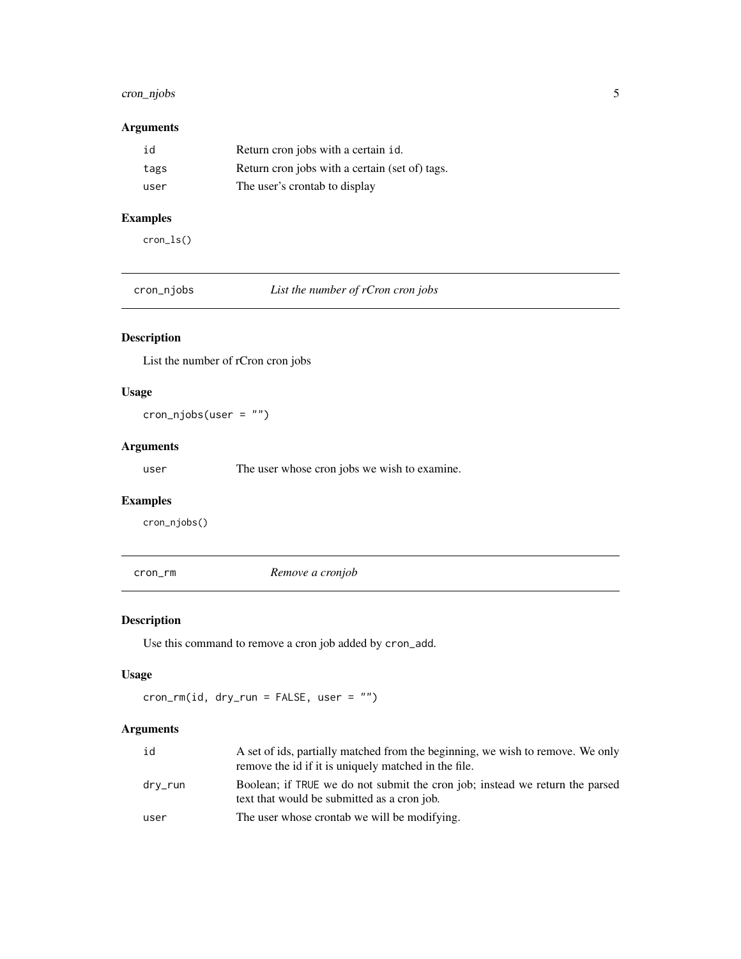# <span id="page-4-0"></span>cron\_njobs 5

# Arguments

| id   | Return cron jobs with a certain id.            |
|------|------------------------------------------------|
| tags | Return cron jobs with a certain (set of) tags. |
| user | The user's crontab to display                  |

# Examples

cron\_ls()

cron\_njobs *List the number of rCron cron jobs*

# Description

List the number of rCron cron jobs

# Usage

cron\_njobs(user = "")

# Arguments

user The user whose cron jobs we wish to examine.

# Examples

cron\_njobs()

cron\_rm *Remove a cronjob*

# Description

Use this command to remove a cron job added by cron\_add.

# Usage

cron\_rm(id, dry\_run = FALSE, user = "")

# Arguments

| id      | A set of ids, partially matched from the beginning, we wish to remove. We only<br>remove the id if it is uniquely matched in the file. |
|---------|----------------------------------------------------------------------------------------------------------------------------------------|
| drv_run | Boolean; if TRUE we do not submit the cron job; instead we return the parsed<br>text that would be submitted as a cron job.            |
| user    | The user whose crontab we will be modifying.                                                                                           |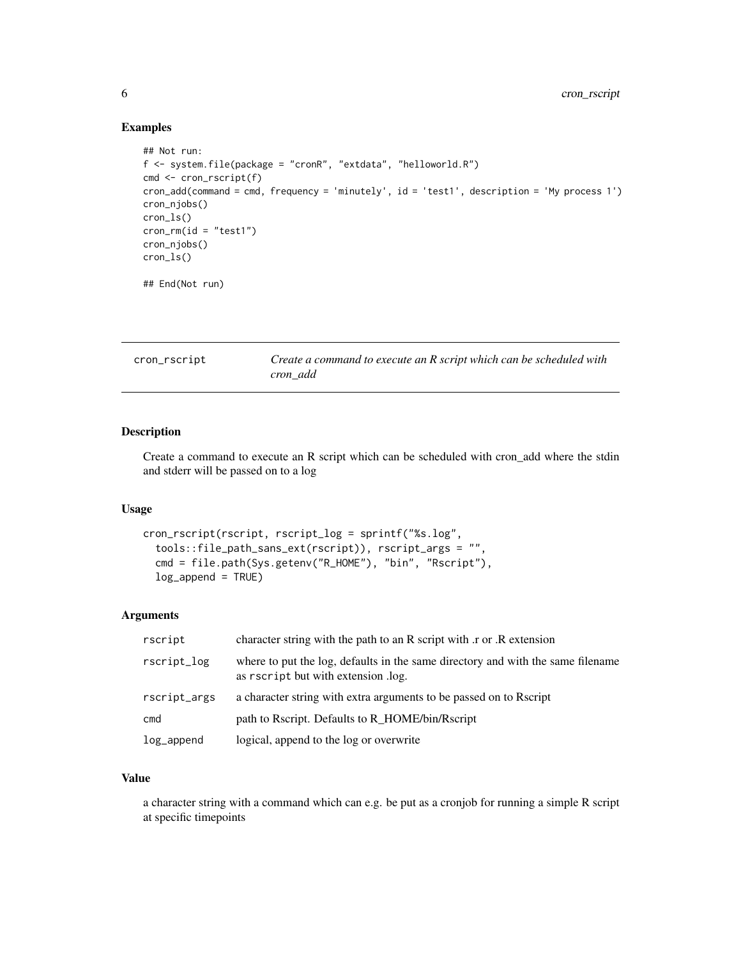# Examples

```
## Not run:
f <- system.file(package = "cronR", "extdata", "helloworld.R")
cmd <- cron_rscript(f)
cron_add(command = cmd, frequency = 'minutely', id = 'test1', description = 'My process 1')
cron_njobs()
cron_ls()
cron_rm(id = "test1")
cron_njobs()
cron_ls()
## End(Not run)
```

| cron_rscript | Create a command to execute an R script which can be scheduled with |
|--------------|---------------------------------------------------------------------|
|              | cron add                                                            |

# Description

Create a command to execute an R script which can be scheduled with cron\_add where the stdin and stderr will be passed on to a log

### Usage

```
cron_rscript(rscript, rscript_log = sprintf("%s.log",
  tools::file_path_sans_ext(rscript)), rscript_args = "",
  cmd = file.path(Sys.getenv("R_HOME"), "bin", "Rscript"),
  log_append = TRUE)
```
# Arguments

| rscript      | character string with the path to an R script with r or R extension                                                    |
|--------------|------------------------------------------------------------------------------------------------------------------------|
| rscript_log  | where to put the log, defaults in the same directory and with the same filename<br>as rscript but with extension .log. |
| rscript_args | a character string with extra arguments to be passed on to Rscript                                                     |
| cmd          | path to Rscript. Defaults to R_HOME/bin/Rscript                                                                        |
| log_append   | logical, append to the log or overwrite                                                                                |

# Value

a character string with a command which can e.g. be put as a cronjob for running a simple R script at specific timepoints

<span id="page-5-0"></span>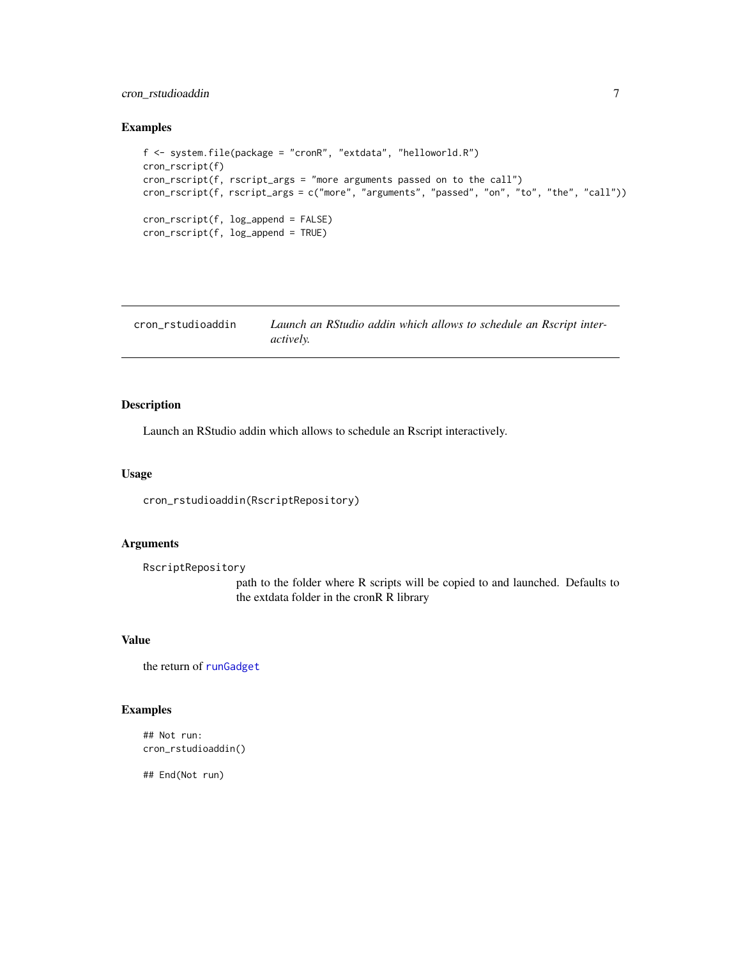# <span id="page-6-0"></span>cron\_rstudioaddin 7

# Examples

```
f <- system.file(package = "cronR", "extdata", "helloworld.R")
cron_rscript(f)
cron_rscript(f, rscript_args = "more arguments passed on to the call")
cron_rscript(f, rscript_args = c("more", "arguments", "passed", "on", "to", "the", "call"))
cron_rscript(f, log_append = FALSE)
cron_rscript(f, log_append = TRUE)
```

| cron rstudioaddin | Launch an RStudio addin which allows to schedule an Rscript inter- |
|-------------------|--------------------------------------------------------------------|
|                   | <i>actively.</i>                                                   |

# Description

Launch an RStudio addin which allows to schedule an Rscript interactively.

# Usage

cron\_rstudioaddin(RscriptRepository)

# Arguments

RscriptRepository

path to the folder where R scripts will be copied to and launched. Defaults to the extdata folder in the cronR R library

### Value

the return of [runGadget](#page-0-0)

# Examples

```
## Not run:
cron_rstudioaddin()
```
## End(Not run)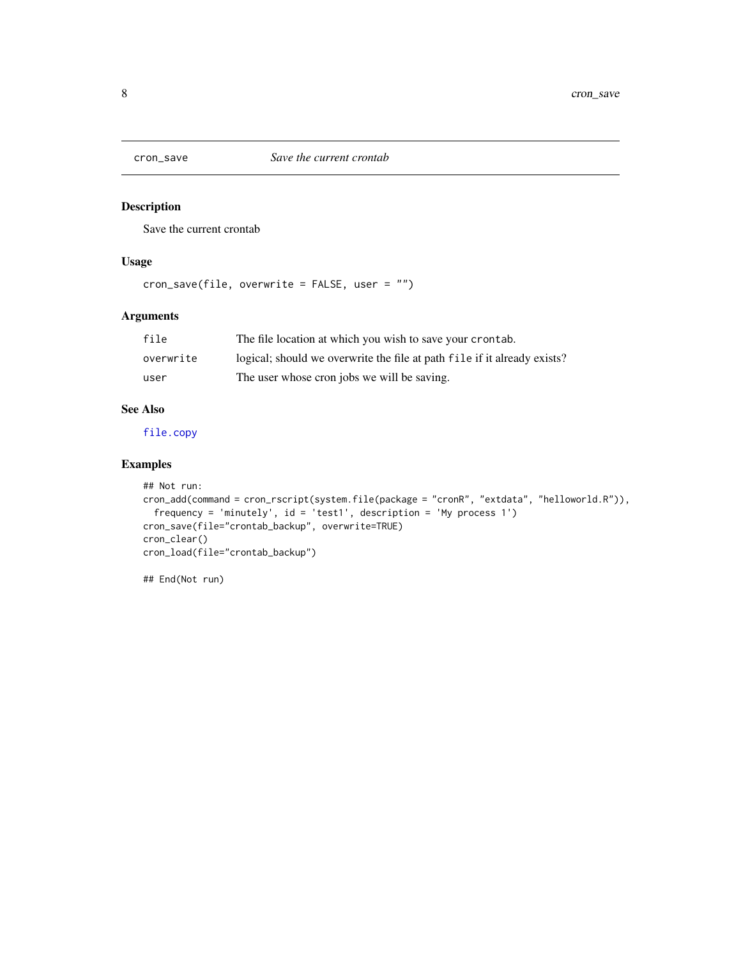<span id="page-7-0"></span>

# Description

Save the current crontab

# Usage

cron\_save(file, overwrite = FALSE, user = "")

# Arguments

| file      | The file location at which you wish to save your crontab.                |
|-----------|--------------------------------------------------------------------------|
| overwrite | logical; should we overwrite the file at path file if it already exists? |
| user      | The user whose cron jobs we will be saving.                              |

# See Also

[file.copy](#page-0-0)

# Examples

```
## Not run:
cron_add(command = cron_rscript(system.file(package = "cronR", "extdata", "helloworld.R")),
  frequency = 'minutely', id = 'test1', description = 'My process 1')
cron_save(file="crontab_backup", overwrite=TRUE)
cron_clear()
cron_load(file="crontab_backup")
```
## End(Not run)